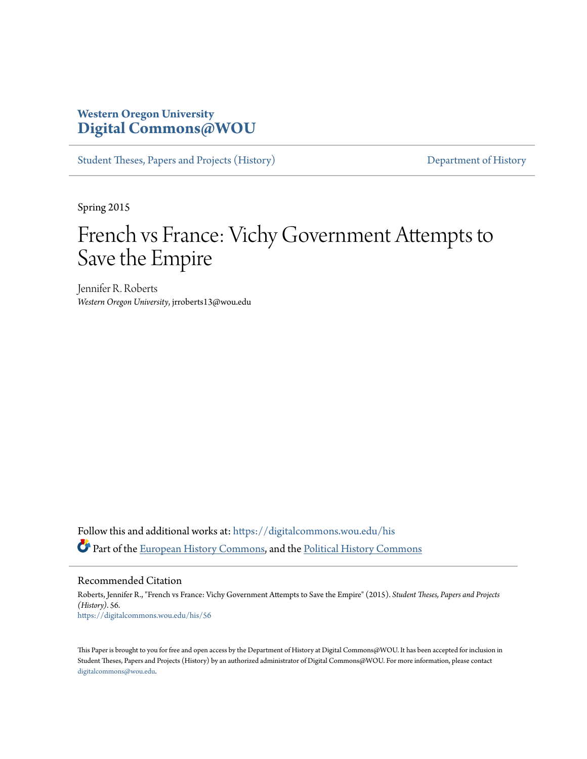## **Western Oregon University [Digital Commons@WOU](https://digitalcommons.wou.edu?utm_source=digitalcommons.wou.edu%2Fhis%2F56&utm_medium=PDF&utm_campaign=PDFCoverPages)**

[Student Theses, Papers and Projects \(History\)](https://digitalcommons.wou.edu/his?utm_source=digitalcommons.wou.edu%2Fhis%2F56&utm_medium=PDF&utm_campaign=PDFCoverPages) [Department of History](https://digitalcommons.wou.edu/history?utm_source=digitalcommons.wou.edu%2Fhis%2F56&utm_medium=PDF&utm_campaign=PDFCoverPages)

Spring 2015

# French vs France: Vichy Government Attempts to Save the Empire

Jennifer R. Roberts *Western Oregon University*, jrroberts13@wou.edu

Follow this and additional works at: [https://digitalcommons.wou.edu/his](https://digitalcommons.wou.edu/his?utm_source=digitalcommons.wou.edu%2Fhis%2F56&utm_medium=PDF&utm_campaign=PDFCoverPages) Part of the [European History Commons](http://network.bepress.com/hgg/discipline/492?utm_source=digitalcommons.wou.edu%2Fhis%2F56&utm_medium=PDF&utm_campaign=PDFCoverPages), and the [Political History Commons](http://network.bepress.com/hgg/discipline/505?utm_source=digitalcommons.wou.edu%2Fhis%2F56&utm_medium=PDF&utm_campaign=PDFCoverPages)

Recommended Citation

Roberts, Jennifer R., "French vs France: Vichy Government Attempts to Save the Empire" (2015). *Student Theses, Papers and Projects (History)*. 56. [https://digitalcommons.wou.edu/his/56](https://digitalcommons.wou.edu/his/56?utm_source=digitalcommons.wou.edu%2Fhis%2F56&utm_medium=PDF&utm_campaign=PDFCoverPages)

This Paper is brought to you for free and open access by the Department of History at Digital Commons@WOU. It has been accepted for inclusion in Student Theses, Papers and Projects (History) by an authorized administrator of Digital Commons@WOU. For more information, please contact [digitalcommons@wou.edu.](mailto:digitalcommons@wou.edu)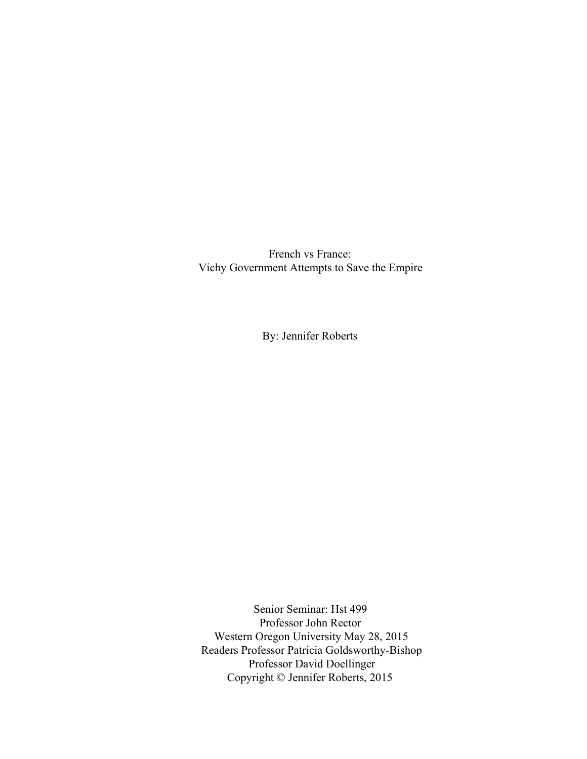French vs France: Vichy Government Attempts to Save the Empire

By: Jennifer Roberts

Senior Seminar: Hst 499 Professor John Rector Western Oregon University May 28, 2015 Readers Professor Patricia Goldsworthy-Bishop Professor David Doellinger Copyright © Jennifer Roberts, 2015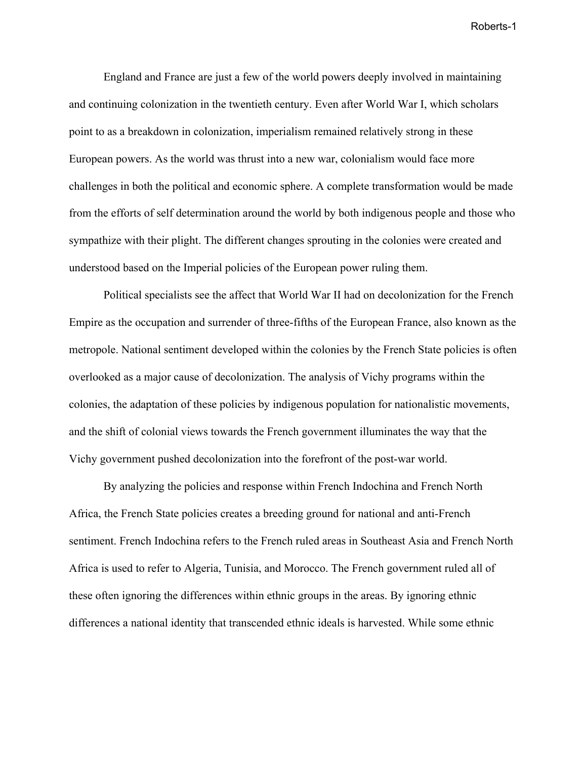England and France are just a few of the world powers deeply involved in maintaining and continuing colonization in the twentieth century. Even after World War I, which scholars point to as a breakdown in colonization, imperialism remained relatively strong in these European powers. As the world was thrust into a new war, colonialism would face more challenges in both the political and economic sphere. A complete transformation would be made from the efforts of self determination around the world by both indigenous people and those who sympathize with their plight. The different changes sprouting in the colonies were created and understood based on the Imperial policies of the European power ruling them.

Political specialists see the affect that World War II had on decolonization for the French Empire as the occupation and surrender of three-fifths of the European France, also known as the metropole. National sentiment developed within the colonies by the French State policies is often overlooked as a major cause of decolonization. The analysis of Vichy programs within the colonies, the adaptation of these policies by indigenous population for nationalistic movements, and the shift of colonial views towards the French government illuminates the way that the Vichy government pushed decolonization into the forefront of the post-war world.

By analyzing the policies and response within French Indochina and French North Africa, the French State policies creates a breeding ground for national and anti-French sentiment. French Indochina refers to the French ruled areas in Southeast Asia and French North Africa is used to refer to Algeria, Tunisia, and Morocco. The French government ruled all of these often ignoring the differences within ethnic groups in the areas. By ignoring ethnic differences a national identity that transcended ethnic ideals is harvested. While some ethnic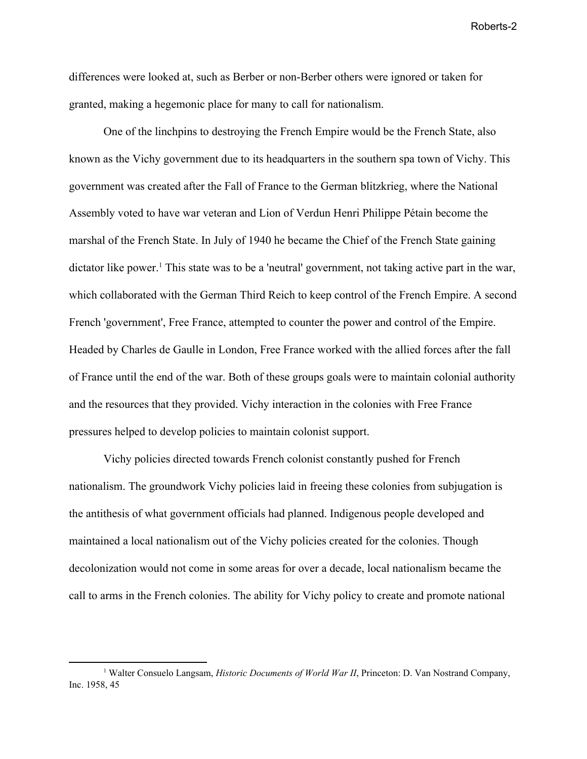differences were looked at, such as Berber or non-Berber others were ignored or taken for granted, making a hegemonic place for many to call for nationalism.

One of the linchpins to destroying the French Empire would be the French State, also known as the Vichy government due to its headquarters in the southern spa town of Vichy. This government was created after the Fall of France to the German blitzkrieg, where the National Assembly voted to have war veteran and Lion of Verdun Henri Philippe Pétain become the marshal of the French State. In July of 1940 he became the Chief of the French State gaining dictator like power.<sup>1</sup> This state was to be a 'neutral' government, not taking active part in the war, which collaborated with the German Third Reich to keep control of the French Empire. A second French 'government', Free France, attempted to counter the power and control of the Empire. Headed by Charles de Gaulle in London, Free France worked with the allied forces after the fall of France until the end of the war. Both of these groups goals were to maintain colonial authority and the resources that they provided. Vichy interaction in the colonies with Free France pressures helped to develop policies to maintain colonist support.

Vichy policies directed towards French colonist constantly pushed for French nationalism. The groundwork Vichy policies laid in freeing these colonies from subjugation is the antithesis of what government officials had planned. Indigenous people developed and maintained a local nationalism out of the Vichy policies created for the colonies. Though decolonization would not come in some areas for over a decade, local nationalism became the call to arms in the French colonies. The ability for Vichy policy to create and promote national

<sup>&</sup>lt;sup>1</sup> Walter Consuelo Langsam, *Historic Documents of World War II*, Princeton: D. Van Nostrand Company, Inc. 1958, 45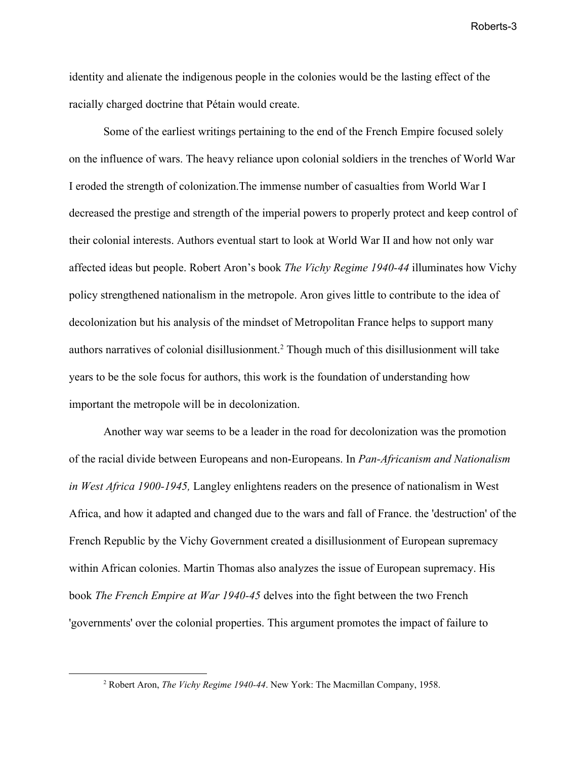identity and alienate the indigenous people in the colonies would be the lasting effect of the racially charged doctrine that Pétain would create.

Some of the earliest writings pertaining to the end of the French Empire focused solely on the influence of wars. The heavy reliance upon colonial soldiers in the trenches of World War I eroded the strength of colonization.The immense number of casualties from World War I decreased the prestige and strength of the imperial powers to properly protect and keep control of their colonial interests. Authors eventual start to look at World War II and how not only war affected ideas but people. Robert Aron's book *The Vichy Regime 1940-44* illuminates how Vichy policy strengthened nationalism in the metropole. Aron gives little to contribute to the idea of decolonization but his analysis of the mindset of Metropolitan France helps to support many authors narratives of colonial disillusionment.<sup>2</sup> Though much of this disillusionment will take years to be the sole focus for authors, this work is the foundation of understanding how important the metropole will be in decolonization.

Another way war seems to be a leader in the road for decolonization was the promotion of the racial divide between Europeans and non-Europeans. In *Pan-Africanism and Nationalism in West Africa 1900-1945,* Langley enlightens readers on the presence of nationalism in West Africa, and how it adapted and changed due to the wars and fall of France. the 'destruction' of the French Republic by the Vichy Government created a disillusionment of European supremacy within African colonies. Martin Thomas also analyzes the issue of European supremacy. His book *The French Empire at War 1940-45* delves into the fight between the two French 'governments' over the colonial properties. This argument promotes the impact of failure to

<sup>2</sup> Robert Aron, *The Vichy Regime 1940-44*. New York: The Macmillan Company, 1958.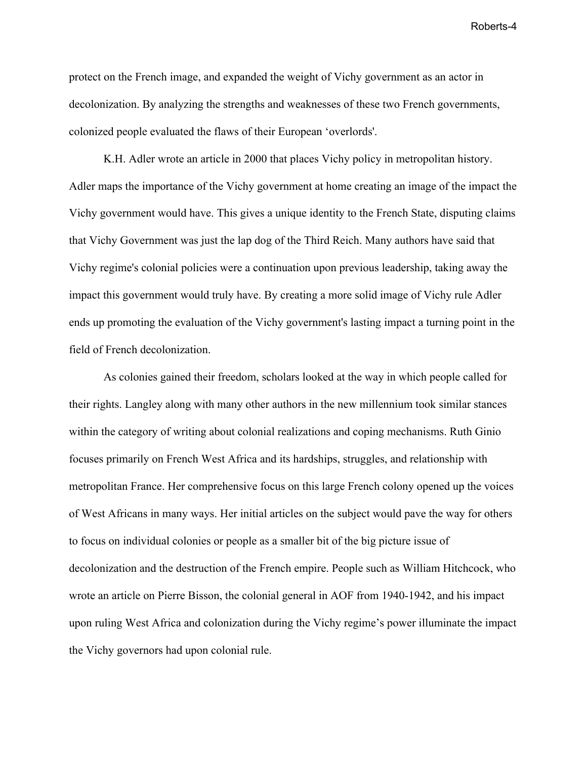protect on the French image, and expanded the weight of Vichy government as an actor in decolonization. By analyzing the strengths and weaknesses of these two French governments, colonized people evaluated the flaws of their European 'overlords'.

K.H. Adler wrote an article in 2000 that places Vichy policy in metropolitan history. Adler maps the importance of the Vichy government at home creating an image of the impact the Vichy government would have. This gives a unique identity to the French State, disputing claims that Vichy Government was just the lap dog of the Third Reich. Many authors have said that Vichy regime's colonial policies were a continuation upon previous leadership, taking away the impact this government would truly have. By creating a more solid image of Vichy rule Adler ends up promoting the evaluation of the Vichy government's lasting impact a turning point in the field of French decolonization.

As colonies gained their freedom, scholars looked at the way in which people called for their rights. Langley along with many other authors in the new millennium took similar stances within the category of writing about colonial realizations and coping mechanisms. Ruth Ginio focuses primarily on French West Africa and its hardships, struggles, and relationship with metropolitan France. Her comprehensive focus on this large French colony opened up the voices of West Africans in many ways. Her initial articles on the subject would pave the way for others to focus on individual colonies or people as a smaller bit of the big picture issue of decolonization and the destruction of the French empire. People such as William Hitchcock, who wrote an article on Pierre Bisson, the colonial general in AOF from 1940-1942, and his impact upon ruling West Africa and colonization during the Vichy regime's power illuminate the impact the Vichy governors had upon colonial rule.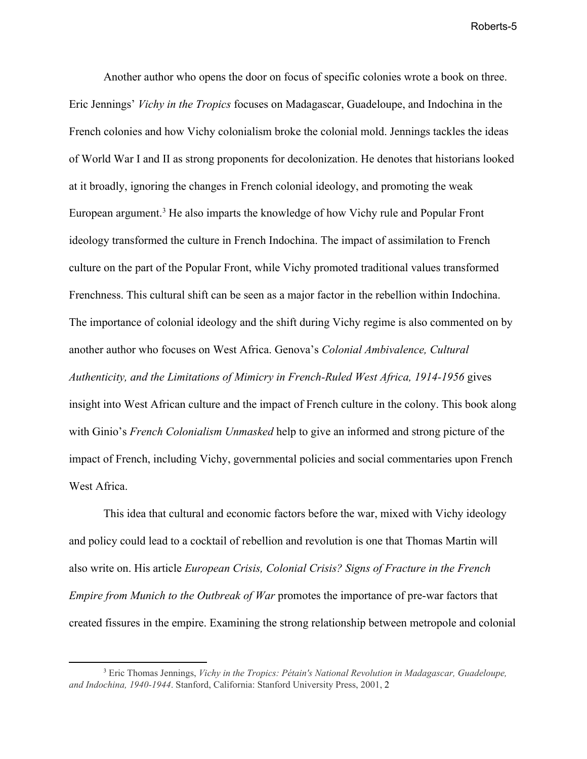Another author who opens the door on focus of specific colonies wrote a book on three. Eric Jennings' *Vichy in the Tropics* focuses on Madagascar, Guadeloupe, and Indochina in the French colonies and how Vichy colonialism broke the colonial mold. Jennings tackles the ideas of World War I and II as strong proponents for decolonization. He denotes that historians looked at it broadly, ignoring the changes in French colonial ideology, and promoting the weak European argument.<sup>3</sup> He also imparts the knowledge of how Vichy rule and Popular Front ideology transformed the culture in French Indochina. The impact of assimilation to French culture on the part of the Popular Front, while Vichy promoted traditional values transformed Frenchness. This cultural shift can be seen as a major factor in the rebellion within Indochina. The importance of colonial ideology and the shift during Vichy regime is also commented on by another author who focuses on West Africa. Genova's *Colonial Ambivalence, Cultural Authenticity, and the Limitations of Mimicry in French-Ruled West Africa, 1914-1956* gives insight into West African culture and the impact of French culture in the colony. This book along with Ginio's *French Colonialism Unmasked* help to give an informed and strong picture of the impact of French, including Vichy, governmental policies and social commentaries upon French West Africa.

This idea that cultural and economic factors before the war, mixed with Vichy ideology and policy could lead to a cocktail of rebellion and revolution is one that Thomas Martin will also write on. His article *European Crisis, Colonial Crisis? Signs of Fracture in the French Empire from Munich to the Outbreak of War* promotes the importance of pre-war factors that created fissures in the empire. Examining the strong relationship between metropole and colonial

<sup>3</sup> Eric Thomas Jennings, *Vichy in the Tropics: Pétain's National Revolution in Madagascar, Guadeloupe, and Indochina, 1940-1944*. Stanford, California: Stanford University Press, 2001, 2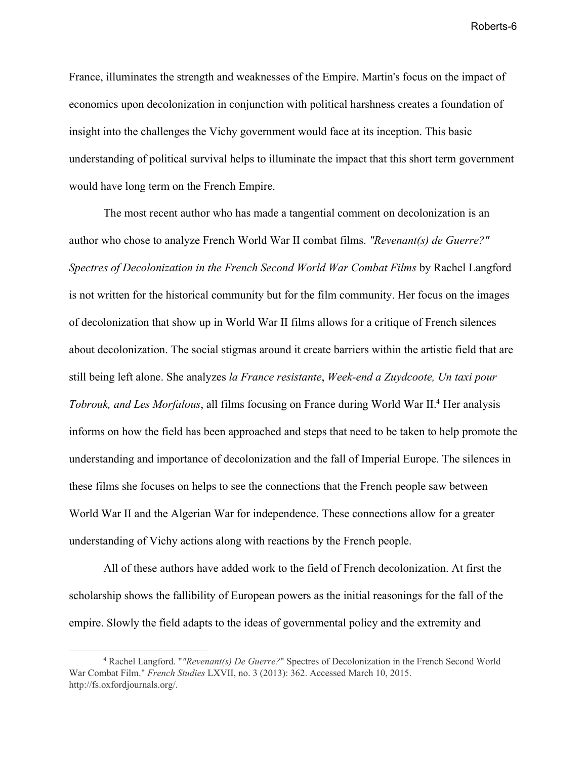France, illuminates the strength and weaknesses of the Empire. Martin's focus on the impact of economics upon decolonization in conjunction with political harshness creates a foundation of insight into the challenges the Vichy government would face at its inception. This basic understanding of political survival helps to illuminate the impact that this short term government would have long term on the French Empire.

The most recent author who has made a tangential comment on decolonization is an author who chose to analyze French World War II combat films. *"Revenant(s) de Guerre?" Spectres of Decolonization in the French Second World War Combat Films* by Rachel Langford is not written for the historical community but for the film community. Her focus on the images of decolonization that show up in World War II films allows for a critique of French silences about decolonization. The social stigmas around it create barriers within the artistic field that are still being left alone. She analyzes *la France resistante*, *Week-end a Zuydcoote, Un taxi pour Tobrouk, and Les Morfalous*, all films focusing on France during World War II.<sup>4</sup> Her analysis informs on how the field has been approached and steps that need to be taken to help promote the understanding and importance of decolonization and the fall of Imperial Europe. The silences in these films she focuses on helps to see the connections that the French people saw between World War II and the Algerian War for independence. These connections allow for a greater understanding of Vichy actions along with reactions by the French people.

All of these authors have added work to the field of French decolonization. At first the scholarship shows the fallibility of European powers as the initial reasonings for the fall of the empire. Slowly the field adapts to the ideas of governmental policy and the extremity and

<sup>4</sup> Rachel Langford. "*"Revenant(s) De Guerre?*" Spectres of Decolonization in the French Second World War Combat Film." *French Studies* LXVII, no. 3 (2013): 362. Accessed March 10, 2015. http://fs.oxfordjournals.org/.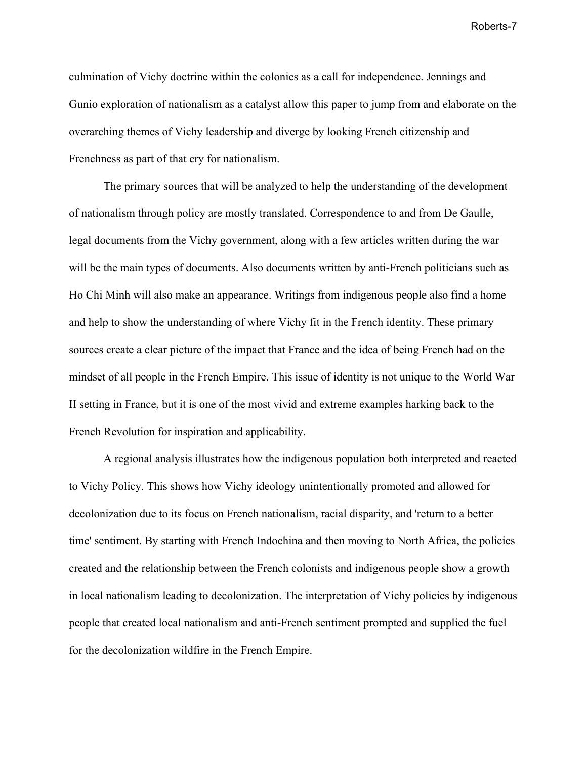culmination of Vichy doctrine within the colonies as a call for independence. Jennings and Gunio exploration of nationalism as a catalyst allow this paper to jump from and elaborate on the overarching themes of Vichy leadership and diverge by looking French citizenship and Frenchness as part of that cry for nationalism.

The primary sources that will be analyzed to help the understanding of the development of nationalism through policy are mostly translated. Correspondence to and from De Gaulle, legal documents from the Vichy government, along with a few articles written during the war will be the main types of documents. Also documents written by anti-French politicians such as Ho Chi Minh will also make an appearance. Writings from indigenous people also find a home and help to show the understanding of where Vichy fit in the French identity. These primary sources create a clear picture of the impact that France and the idea of being French had on the mindset of all people in the French Empire. This issue of identity is not unique to the World War II setting in France, but it is one of the most vivid and extreme examples harking back to the French Revolution for inspiration and applicability.

A regional analysis illustrates how the indigenous population both interpreted and reacted to Vichy Policy. This shows how Vichy ideology unintentionally promoted and allowed for decolonization due to its focus on French nationalism, racial disparity, and 'return to a better time' sentiment. By starting with French Indochina and then moving to North Africa, the policies created and the relationship between the French colonists and indigenous people show a growth in local nationalism leading to decolonization. The interpretation of Vichy policies by indigenous people that created local nationalism and anti-French sentiment prompted and supplied the fuel for the decolonization wildfire in the French Empire.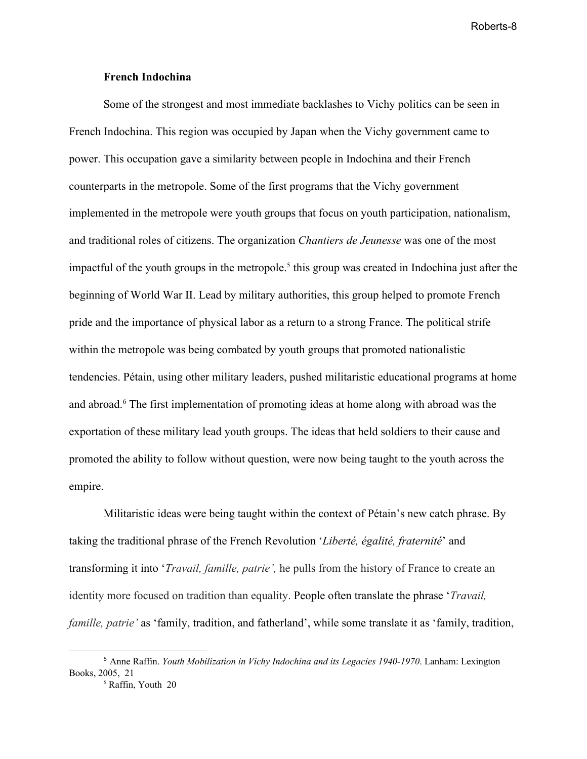#### **French Indochina**

Some of the strongest and most immediate backlashes to Vichy politics can be seen in French Indochina. This region was occupied by Japan when the Vichy government came to power. This occupation gave a similarity between people in Indochina and their French counterparts in the metropole. Some of the first programs that the Vichy government implemented in the metropole were youth groups that focus on youth participation, nationalism, and traditional roles of citizens. The organization *Chantiers de Jeunesse* was one of the most impactful of the youth groups in the metropole.<sup>5</sup> this group was created in Indochina just after the beginning of World War II. Lead by military authorities, this group helped to promote French pride and the importance of physical labor as a return to a strong France. The political strife within the metropole was being combated by youth groups that promoted nationalistic tendencies. Pétain, using other military leaders, pushed militaristic educational programs at home and abroad.<sup>6</sup> The first implementation of promoting ideas at home along with abroad was the exportation of these military lead youth groups. The ideas that held soldiers to their cause and promoted the ability to follow without question, were now being taught to the youth across the empire.

Militaristic ideas were being taught within the context of Pétain's new catch phrase. By taking the traditional phrase of the French Revolution '*Liberté, égalité, fraternité*' and transforming it into '*Travail, famille, patrie',* he pulls from the history of France to create an identity more focused on tradition than equality. People often translate the phrase '*Travail, famille, patrie'* as 'family, tradition, and fatherland', while some translate it as 'family, tradition,

<sup>5</sup> Anne Raffin. *Youth Mobilization in Vichy Indochina and its Legacies 1940-1970*. Lanham: Lexington Books, 2005, 21

<sup>6</sup> Raffin, Youth 20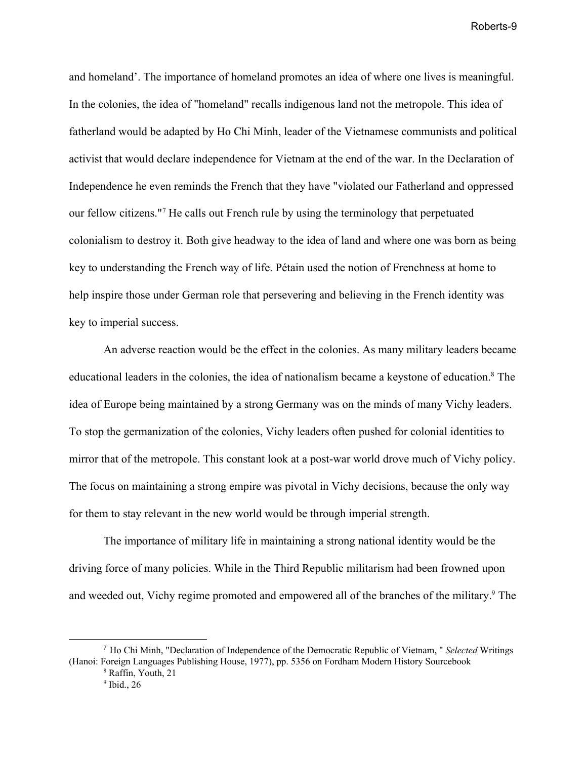and homeland'. The importance of homeland promotes an idea of where one lives is meaningful. In the colonies, the idea of "homeland" recalls indigenous land not the metropole. This idea of fatherland would be adapted by Ho Chi Minh, leader of the Vietnamese communists and political activist that would declare independence for Vietnam at the end of the war. In the Declaration of Independence he even reminds the French that they have "violated our Fatherland and oppressed our fellow citizens."<sup>7</sup> He calls out French rule by using the terminology that perpetuated colonialism to destroy it. Both give headway to the idea of land and where one was born as being key to understanding the French way of life. Pétain used the notion of Frenchness at home to help inspire those under German role that persevering and believing in the French identity was key to imperial success.

An adverse reaction would be the effect in the colonies. As many military leaders became educational leaders in the colonies, the idea of nationalism became a keystone of education.<sup>8</sup> The idea of Europe being maintained by a strong Germany was on the minds of many Vichy leaders. To stop the germanization of the colonies, Vichy leaders often pushed for colonial identities to mirror that of the metropole. This constant look at a post-war world drove much of Vichy policy. The focus on maintaining a strong empire was pivotal in Vichy decisions, because the only way for them to stay relevant in the new world would be through imperial strength.

The importance of military life in maintaining a strong national identity would be the driving force of many policies. While in the Third Republic militarism had been frowned upon and weeded out, Vichy regime promoted and empowered all of the branches of the military.<sup>9</sup> The

<sup>7</sup> Ho Chi Minh, "Declaration of Independence of the Democratic Republic of Vietnam, " *Selected* Writings (Hanoi: Foreign Languages Publishing House, 1977), pp. 5356 on Fordham Modern History Sourcebook

<sup>8</sup> Raffin, Youth, 21

 $<sup>9</sup>$  Ibid., 26</sup>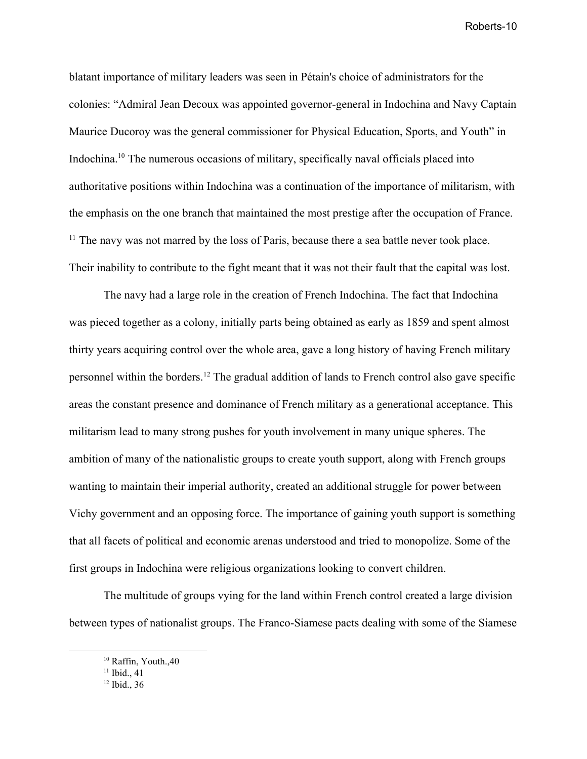blatant importance of military leaders was seen in Pétain's choice of administrators for the colonies: "Admiral Jean Decoux was appointed governor-general in Indochina and Navy Captain Maurice Ducoroy was the general commissioner for Physical Education, Sports, and Youth" in Indochina.<sup>10</sup> The numerous occasions of military, specifically naval officials placed into authoritative positions within Indochina was a continuation of the importance of militarism, with the emphasis on the one branch that maintained the most prestige after the occupation of France.  $<sup>11</sup>$  The navy was not marred by the loss of Paris, because there a sea battle never took place.</sup> Their inability to contribute to the fight meant that it was not their fault that the capital was lost.

The navy had a large role in the creation of French Indochina. The fact that Indochina was pieced together as a colony, initially parts being obtained as early as 1859 and spent almost thirty years acquiring control over the whole area, gave a long history of having French military personnel within the borders.<sup>12</sup> The gradual addition of lands to French control also gave specific areas the constant presence and dominance of French military as a generational acceptance. This militarism lead to many strong pushes for youth involvement in many unique spheres. The ambition of many of the nationalistic groups to create youth support, along with French groups wanting to maintain their imperial authority, created an additional struggle for power between Vichy government and an opposing force. The importance of gaining youth support is something that all facets of political and economic arenas understood and tried to monopolize. Some of the first groups in Indochina were religious organizations looking to convert children.

The multitude of groups vying for the land within French control created a large division between types of nationalist groups. The Franco-Siamese pacts dealing with some of the Siamese

<sup>&</sup>lt;sup>10</sup> Raffin, Youth., 40

 $11$  Ibid., 41

 $12$  Ibid., 36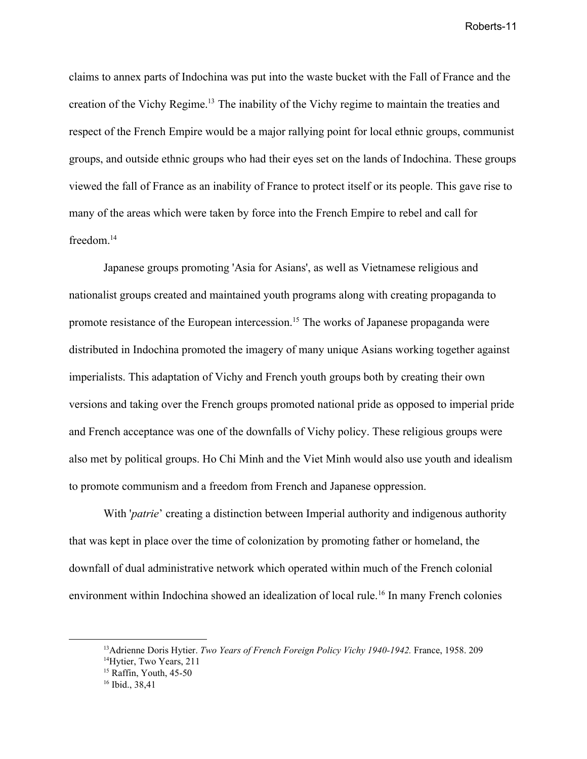claims to annex parts of Indochina was put into the waste bucket with the Fall of France and the creation of the Vichy Regime.<sup>13</sup> The inability of the Vichy regime to maintain the treaties and respect of the French Empire would be a major rallying point for local ethnic groups, communist groups, and outside ethnic groups who had their eyes set on the lands of Indochina. These groups viewed the fall of France as an inability of France to protect itself or its people. This gave rise to many of the areas which were taken by force into the French Empire to rebel and call for freedom.<sup>14</sup>

Japanese groups promoting 'Asia for Asians', as well as Vietnamese religious and nationalist groups created and maintained youth programs along with creating propaganda to promote resistance of the European intercession.<sup>15</sup> The works of Japanese propaganda were distributed in Indochina promoted the imagery of many unique Asians working together against imperialists. This adaptation of Vichy and French youth groups both by creating their own versions and taking over the French groups promoted national pride as opposed to imperial pride and French acceptance was one of the downfalls of Vichy policy. These religious groups were also met by political groups. Ho Chi Minh and the Viet Minh would also use youth and idealism to promote communism and a freedom from French and Japanese oppression.

With '*patrie*' creating a distinction between Imperial authority and indigenous authority that was kept in place over the time of colonization by promoting father or homeland, the downfall of dual administrative network which operated within much of the French colonial environment within Indochina showed an idealization of local rule.<sup>16</sup> In many French colonies

<sup>13</sup>Adrienne Doris Hytier. *Two Years of French Foreign Policy Vichy 1940-1942.* France, 1958. 209

<sup>&</sup>lt;sup>14</sup>Hytier, Two Years, 211

<sup>&</sup>lt;sup>15</sup> Raffin, Youth, 45-50

<sup>16</sup> Ibid., 38,41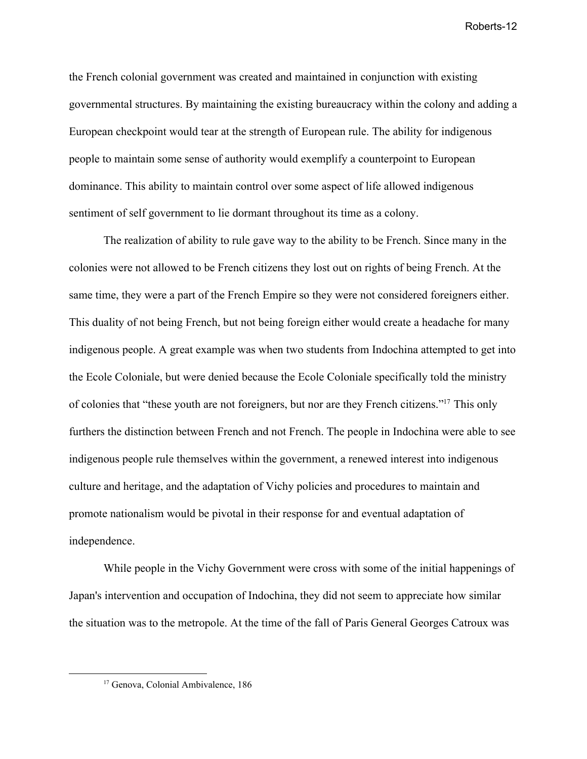the French colonial government was created and maintained in conjunction with existing governmental structures. By maintaining the existing bureaucracy within the colony and adding a European checkpoint would tear at the strength of European rule. The ability for indigenous people to maintain some sense of authority would exemplify a counterpoint to European dominance. This ability to maintain control over some aspect of life allowed indigenous sentiment of self government to lie dormant throughout its time as a colony.

The realization of ability to rule gave way to the ability to be French. Since many in the colonies were not allowed to be French citizens they lost out on rights of being French. At the same time, they were a part of the French Empire so they were not considered foreigners either. This duality of not being French, but not being foreign either would create a headache for many indigenous people. A great example was when two students from Indochina attempted to get into the Ecole Coloniale, but were denied because the Ecole Coloniale specifically told the ministry of colonies that "these youth are not foreigners, but nor are they French citizens."<sup>17</sup> This only furthers the distinction between French and not French. The people in Indochina were able to see indigenous people rule themselves within the government, a renewed interest into indigenous culture and heritage, and the adaptation of Vichy policies and procedures to maintain and promote nationalism would be pivotal in their response for and eventual adaptation of independence.

While people in the Vichy Government were cross with some of the initial happenings of Japan's intervention and occupation of Indochina, they did not seem to appreciate how similar the situation was to the metropole. At the time of the fall of Paris General Georges Catroux was

<sup>&</sup>lt;sup>17</sup> Genova, Colonial Ambivalence, 186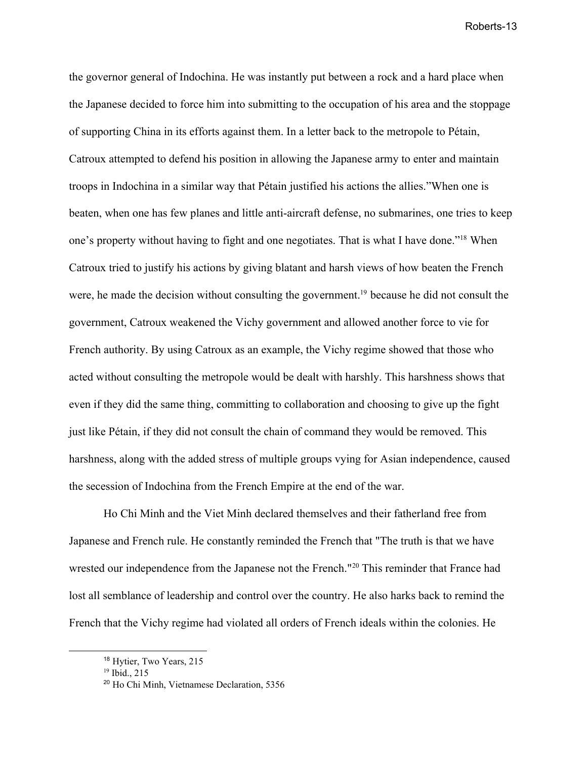the governor general of Indochina. He was instantly put between a rock and a hard place when the Japanese decided to force him into submitting to the occupation of his area and the stoppage of supporting China in its efforts against them. In a letter back to the metropole to Pétain, Catroux attempted to defend his position in allowing the Japanese army to enter and maintain troops in Indochina in a similar way that Pétain justified his actions the allies."When one is beaten, when one has few planes and little anti-aircraft defense, no submarines, one tries to keep one's property without having to fight and one negotiates. That is what I have done."<sup>18</sup> When Catroux tried to justify his actions by giving blatant and harsh views of how beaten the French were, he made the decision without consulting the government.<sup>19</sup> because he did not consult the government, Catroux weakened the Vichy government and allowed another force to vie for French authority. By using Catroux as an example, the Vichy regime showed that those who acted without consulting the metropole would be dealt with harshly. This harshness shows that even if they did the same thing, committing to collaboration and choosing to give up the fight just like Pétain, if they did not consult the chain of command they would be removed. This harshness, along with the added stress of multiple groups vying for Asian independence, caused the secession of Indochina from the French Empire at the end of the war.

Ho Chi Minh and the Viet Minh declared themselves and their fatherland free from Japanese and French rule. He constantly reminded the French that "The truth is that we have wrested our independence from the Japanese not the French."<sup>20</sup> This reminder that France had lost all semblance of leadership and control over the country. He also harks back to remind the French that the Vichy regime had violated all orders of French ideals within the colonies. He

<sup>18</sup> Hytier, Two Years, 215

 $^{19}$  Ibid., 215

<sup>20</sup> Ho Chi Minh, Vietnamese Declaration, 5356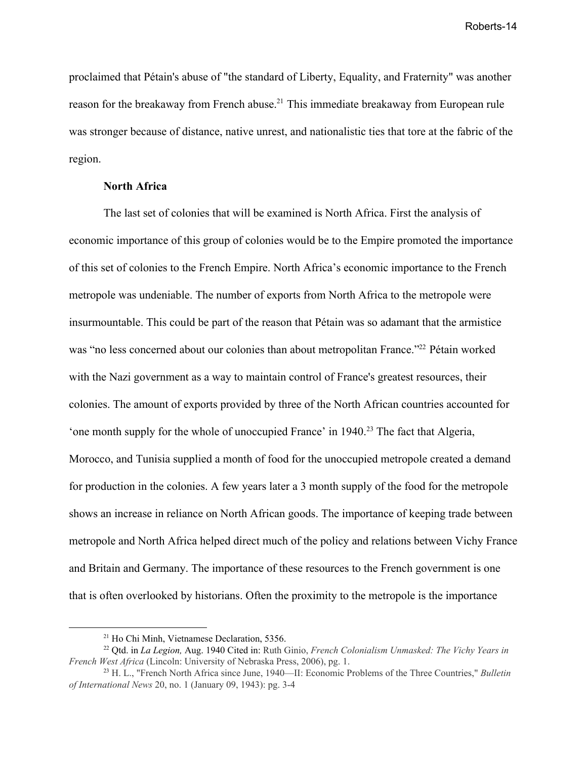proclaimed that Pétain's abuse of "the standard of Liberty, Equality, and Fraternity" was another reason for the breakaway from French abuse.<sup>21</sup> This immediate breakaway from European rule was stronger because of distance, native unrest, and nationalistic ties that tore at the fabric of the region.

#### **North Africa**

The last set of colonies that will be examined is North Africa. First the analysis of economic importance of this group of colonies would be to the Empire promoted the importance of this set of colonies to the French Empire. North Africa's economic importance to the French metropole was undeniable. The number of exports from North Africa to the metropole were insurmountable. This could be part of the reason that Pétain was so adamant that the armistice was "no less concerned about our colonies than about metropolitan France."<sup>22</sup> Pétain worked with the Nazi government as a way to maintain control of France's greatest resources, their colonies. The amount of exports provided by three of the North African countries accounted for 'one month supply for the whole of unoccupied France' in  $1940$ <sup>23</sup>. The fact that Algeria, Morocco, and Tunisia supplied a month of food for the unoccupied metropole created a demand for production in the colonies. A few years later a 3 month supply of the food for the metropole shows an increase in reliance on North African goods. The importance of keeping trade between metropole and North Africa helped direct much of the policy and relations between Vichy France and Britain and Germany. The importance of these resources to the French government is one that is often overlooked by historians. Often the proximity to the metropole is the importance

<sup>21</sup> Ho Chi Minh, Vietnamese Declaration, 5356.

<sup>22</sup> Qtd. in *La Legion,* Aug. 1940 Cited in: Ruth Ginio, *French Colonialism Unmasked: The Vichy Years in French West Africa* (Lincoln: University of Nebraska Press, 2006), pg. 1.

<sup>23</sup> H. L., "French North Africa since June, 1940—II: Economic Problems of the Three Countries," *Bulletin of International News* 20, no. 1 (January 09, 1943): pg. 3-4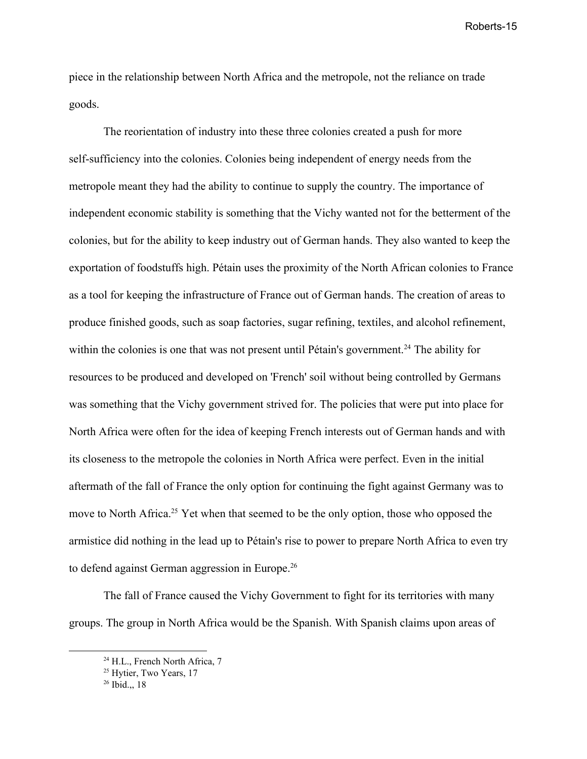piece in the relationship between North Africa and the metropole, not the reliance on trade goods.

The reorientation of industry into these three colonies created a push for more self-sufficiency into the colonies. Colonies being independent of energy needs from the metropole meant they had the ability to continue to supply the country. The importance of independent economic stability is something that the Vichy wanted not for the betterment of the colonies, but for the ability to keep industry out of German hands. They also wanted to keep the exportation of foodstuffs high. Pétain uses the proximity of the North African colonies to France as a tool for keeping the infrastructure of France out of German hands. The creation of areas to produce finished goods, such as soap factories, sugar refining, textiles, and alcohol refinement, within the colonies is one that was not present until Pétain's government.<sup>24</sup> The ability for resources to be produced and developed on 'French' soil without being controlled by Germans was something that the Vichy government strived for. The policies that were put into place for North Africa were often for the idea of keeping French interests out of German hands and with its closeness to the metropole the colonies in North Africa were perfect. Even in the initial aftermath of the fall of France the only option for continuing the fight against Germany was to move to North Africa.<sup>25</sup> Yet when that seemed to be the only option, those who opposed the armistice did nothing in the lead up to Pétain's rise to power to prepare North Africa to even try to defend against German aggression in Europe.<sup>26</sup>

The fall of France caused the Vichy Government to fight for its territories with many groups. The group in North Africa would be the Spanish. With Spanish claims upon areas of

<sup>&</sup>lt;sup>24</sup> H.L., French North Africa, 7

<sup>&</sup>lt;sup>25</sup> Hytier, Two Years, 17

 $26$  Ibid., 18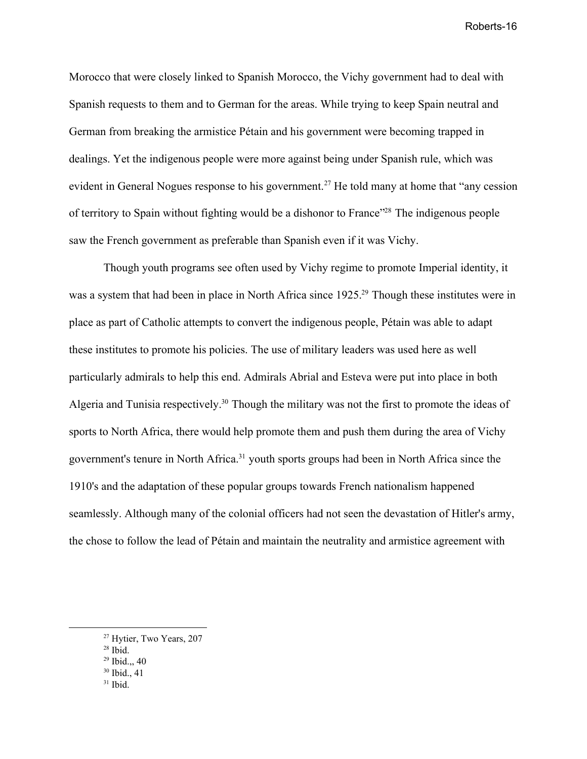Morocco that were closely linked to Spanish Morocco, the Vichy government had to deal with Spanish requests to them and to German for the areas. While trying to keep Spain neutral and German from breaking the armistice Pétain and his government were becoming trapped in dealings. Yet the indigenous people were more against being under Spanish rule, which was evident in General Nogues response to his government.<sup>27</sup> He told many at home that "any cession" of territory to Spain without fighting would be a dishonor to France<sup>"28</sup> The indigenous people saw the French government as preferable than Spanish even if it was Vichy.

Though youth programs see often used by Vichy regime to promote Imperial identity, it was a system that had been in place in North Africa since 1925.<sup>29</sup> Though these institutes were in place as part of Catholic attempts to convert the indigenous people, Pétain was able to adapt these institutes to promote his policies. The use of military leaders was used here as well particularly admirals to help this end. Admirals Abrial and Esteva were put into place in both Algeria and Tunisia respectively.<sup>30</sup> Though the military was not the first to promote the ideas of sports to North Africa, there would help promote them and push them during the area of Vichy government's tenure in North Africa.<sup>31</sup> youth sports groups had been in North Africa since the 1910's and the adaptation of these popular groups towards French nationalism happened seamlessly. Although many of the colonial officers had not seen the devastation of Hitler's army, the chose to follow the lead of Pétain and maintain the neutrality and armistice agreement with

- <sup>30</sup> Ibid., 41
- $31$  Ibid.

<sup>27</sup> Hytier, Two Years, 207

 $28$  Ibid.

<sup>29</sup> Ibid.,, 40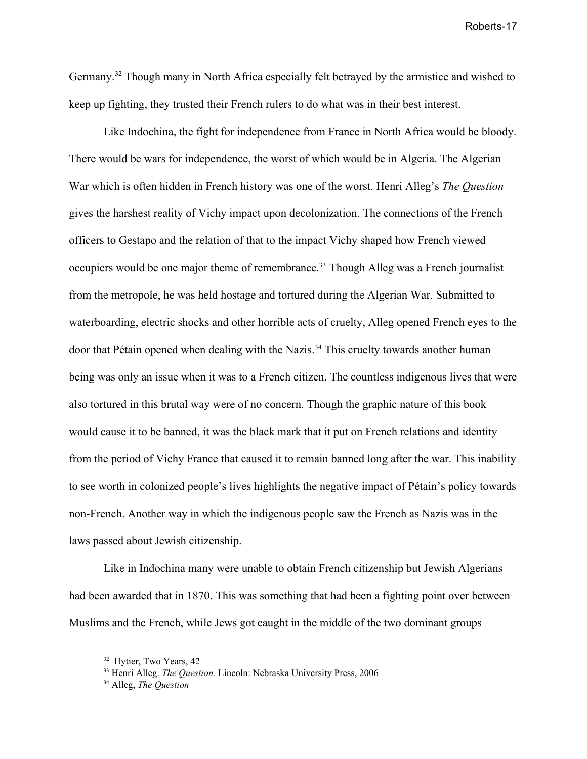Germany.<sup>32</sup> Though many in North Africa especially felt betrayed by the armistice and wished to keep up fighting, they trusted their French rulers to do what was in their best interest.

Like Indochina, the fight for independence from France in North Africa would be bloody. There would be wars for independence, the worst of which would be in Algeria. The Algerian War which is often hidden in French history was one of the worst. Henri Alleg's *The Question* gives the harshest reality of Vichy impact upon decolonization. The connections of the French officers to Gestapo and the relation of that to the impact Vichy shaped how French viewed occupiers would be one major theme of remembrance.<sup>33</sup> Though Alleg was a French journalist from the metropole, he was held hostage and tortured during the Algerian War. Submitted to waterboarding, electric shocks and other horrible acts of cruelty, Alleg opened French eyes to the door that Pétain opened when dealing with the Nazis.<sup>34</sup> This cruelty towards another human being was only an issue when it was to a French citizen. The countless indigenous lives that were also tortured in this brutal way were of no concern. Though the graphic nature of this book would cause it to be banned, it was the black mark that it put on French relations and identity from the period of Vichy France that caused it to remain banned long after the war. This inability to see worth in colonized people's lives highlights the negative impact of Pétain's policy towards non-French. Another way in which the indigenous people saw the French as Nazis was in the laws passed about Jewish citizenship.

Like in Indochina many were unable to obtain French citizenship but Jewish Algerians had been awarded that in 1870. This was something that had been a fighting point over between Muslims and the French, while Jews got caught in the middle of the two dominant groups

<sup>&</sup>lt;sup>32</sup> Hytier, Two Years, 42

<sup>33</sup> Henri Alleg. *The Question.* Lincoln: Nebraska University Press, 2006

<sup>34</sup> Alleg, *The Question*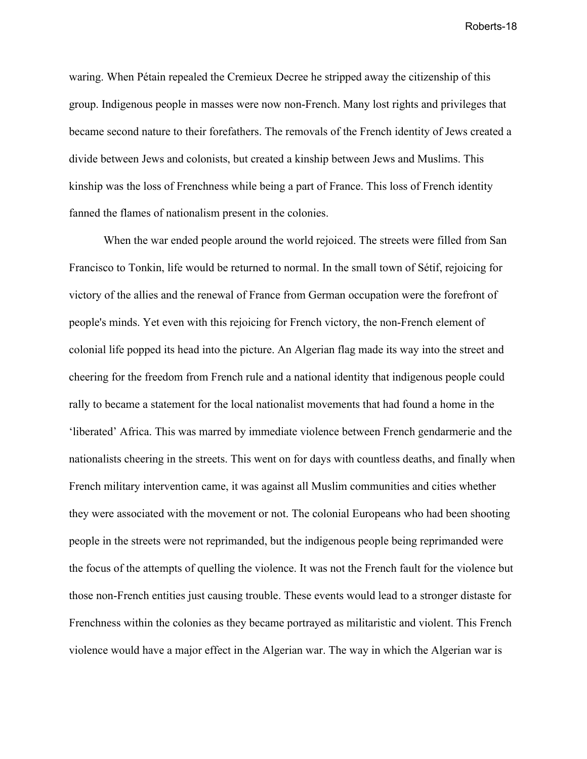waring. When Pétain repealed the Cremieux Decree he stripped away the citizenship of this group. Indigenous people in masses were now non-French. Many lost rights and privileges that became second nature to their forefathers. The removals of the French identity of Jews created a divide between Jews and colonists, but created a kinship between Jews and Muslims. This kinship was the loss of Frenchness while being a part of France. This loss of French identity fanned the flames of nationalism present in the colonies.

When the war ended people around the world rejoiced. The streets were filled from San Francisco to Tonkin, life would be returned to normal. In the small town of Sétif, rejoicing for victory of the allies and the renewal of France from German occupation were the forefront of people's minds. Yet even with this rejoicing for French victory, the non-French element of colonial life popped its head into the picture. An Algerian flag made its way into the street and cheering for the freedom from French rule and a national identity that indigenous people could rally to became a statement for the local nationalist movements that had found a home in the 'liberated' Africa. This was marred by immediate violence between French gendarmerie and the nationalists cheering in the streets. This went on for days with countless deaths, and finally when French military intervention came, it was against all Muslim communities and cities whether they were associated with the movement or not. The colonial Europeans who had been shooting people in the streets were not reprimanded, but the indigenous people being reprimanded were the focus of the attempts of quelling the violence. It was not the French fault for the violence but those non-French entities just causing trouble. These events would lead to a stronger distaste for Frenchness within the colonies as they became portrayed as militaristic and violent. This French violence would have a major effect in the Algerian war. The way in which the Algerian war is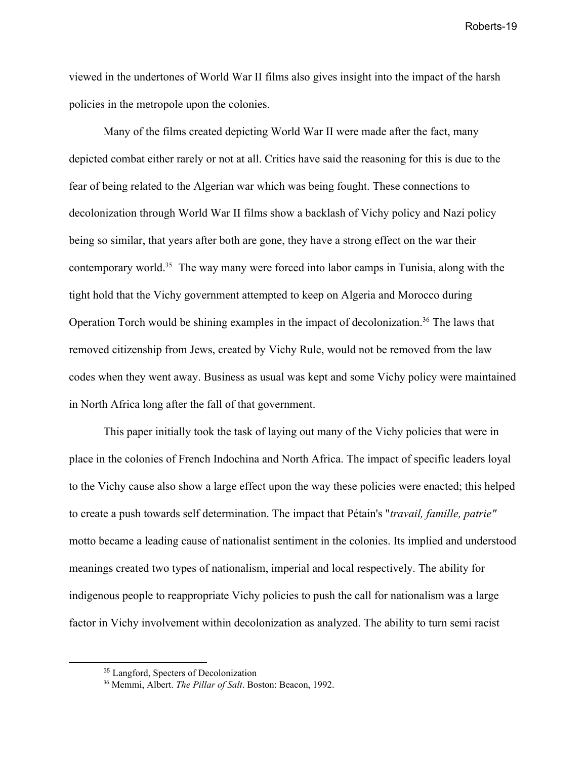viewed in the undertones of World War II films also gives insight into the impact of the harsh policies in the metropole upon the colonies.

Many of the films created depicting World War II were made after the fact, many depicted combat either rarely or not at all. Critics have said the reasoning for this is due to the fear of being related to the Algerian war which was being fought. These connections to decolonization through World War II films show a backlash of Vichy policy and Nazi policy being so similar, that years after both are gone, they have a strong effect on the war their contemporary world.<sup>35</sup> The way many were forced into labor camps in Tunisia, along with the tight hold that the Vichy government attempted to keep on Algeria and Morocco during Operation Torch would be shining examples in the impact of decolonization.<sup>36</sup> The laws that removed citizenship from Jews, created by Vichy Rule, would not be removed from the law codes when they went away. Business as usual was kept and some Vichy policy were maintained in North Africa long after the fall of that government.

This paper initially took the task of laying out many of the Vichy policies that were in place in the colonies of French Indochina and North Africa. The impact of specific leaders loyal to the Vichy cause also show a large effect upon the way these policies were enacted; this helped to create a push towards self determination. The impact that Pétain's "*travail, famille, patrie"* motto became a leading cause of nationalist sentiment in the colonies. Its implied and understood meanings created two types of nationalism, imperial and local respectively. The ability for indigenous people to reappropriate Vichy policies to push the call for nationalism was a large factor in Vichy involvement within decolonization as analyzed. The ability to turn semi racist

<sup>35</sup> Langford, Specters of Decolonization

<sup>36</sup> Memmi, Albert. *The Pillar of Salt*. Boston: Beacon, 1992.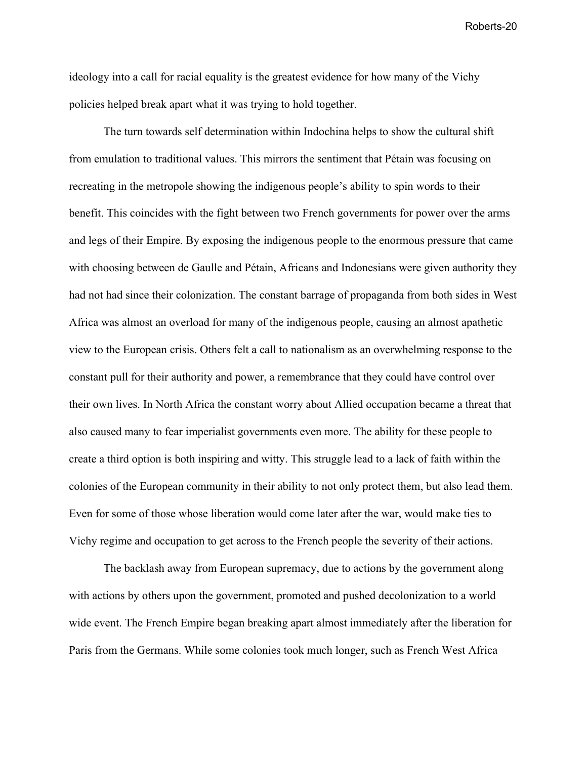ideology into a call for racial equality is the greatest evidence for how many of the Vichy policies helped break apart what it was trying to hold together.

The turn towards self determination within Indochina helps to show the cultural shift from emulation to traditional values. This mirrors the sentiment that Pétain was focusing on recreating in the metropole showing the indigenous people's ability to spin words to their benefit. This coincides with the fight between two French governments for power over the arms and legs of their Empire. By exposing the indigenous people to the enormous pressure that came with choosing between de Gaulle and Pétain, Africans and Indonesians were given authority they had not had since their colonization. The constant barrage of propaganda from both sides in West Africa was almost an overload for many of the indigenous people, causing an almost apathetic view to the European crisis. Others felt a call to nationalism as an overwhelming response to the constant pull for their authority and power, a remembrance that they could have control over their own lives. In North Africa the constant worry about Allied occupation became a threat that also caused many to fear imperialist governments even more. The ability for these people to create a third option is both inspiring and witty. This struggle lead to a lack of faith within the colonies of the European community in their ability to not only protect them, but also lead them. Even for some of those whose liberation would come later after the war, would make ties to Vichy regime and occupation to get across to the French people the severity of their actions.

The backlash away from European supremacy, due to actions by the government along with actions by others upon the government, promoted and pushed decolonization to a world wide event. The French Empire began breaking apart almost immediately after the liberation for Paris from the Germans. While some colonies took much longer, such as French West Africa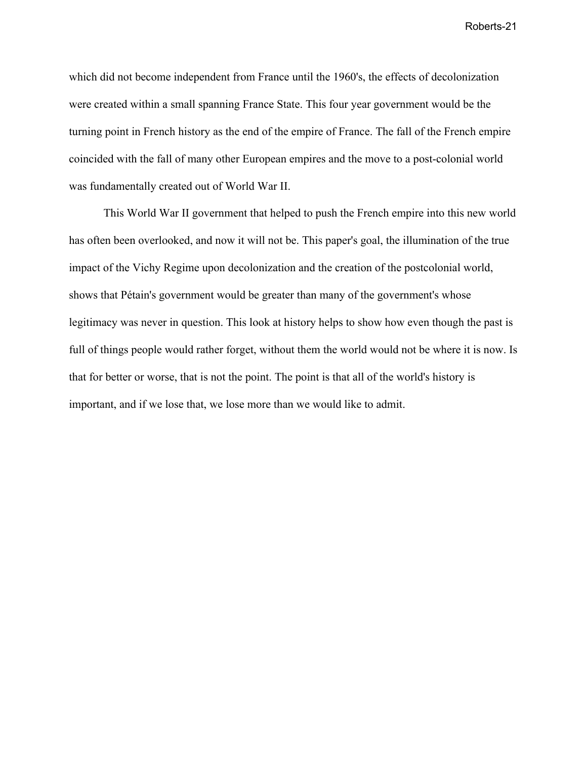which did not become independent from France until the 1960's, the effects of decolonization were created within a small spanning France State. This four year government would be the turning point in French history as the end of the empire of France. The fall of the French empire coincided with the fall of many other European empires and the move to a post-colonial world was fundamentally created out of World War II.

This World War II government that helped to push the French empire into this new world has often been overlooked, and now it will not be. This paper's goal, the illumination of the true impact of the Vichy Regime upon decolonization and the creation of the postcolonial world, shows that Pétain's government would be greater than many of the government's whose legitimacy was never in question. This look at history helps to show how even though the past is full of things people would rather forget, without them the world would not be where it is now. Is that for better or worse, that is not the point. The point is that all of the world's history is important, and if we lose that, we lose more than we would like to admit.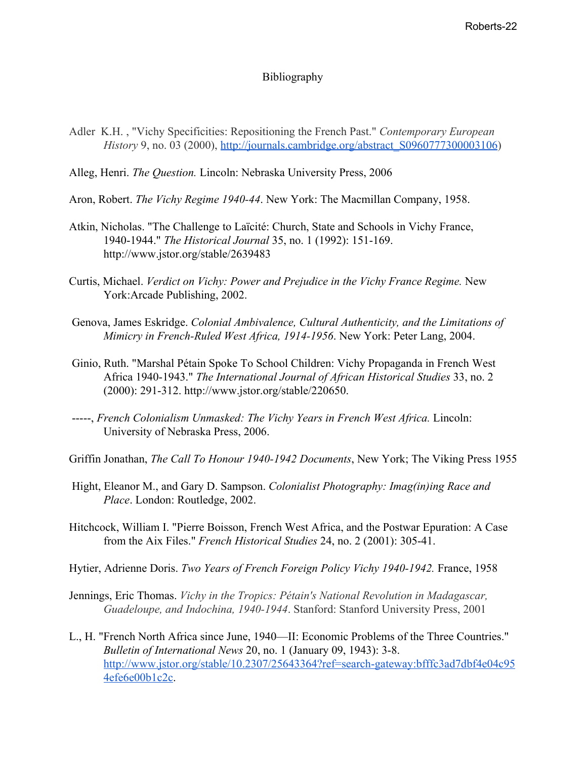### Bibliography

- Adler K.H. , "Vichy Specificities: Repositioning the French Past." *Contemporary European History* 9, no. 03 (2000), [http://journals.cambridge.org/abstract\\_S0960777300003106\)](http://journals.cambridge.org/abstract_S0960777300003106)
- Alleg, Henri. *The Question.* Lincoln: Nebraska University Press, 2006
- Aron, Robert. *The Vichy Regime 1940-44*. New York: The Macmillan Company, 1958.
- Atkin, Nicholas. "The Challenge to Laïcité: Church, State and Schools in Vichy France, 1940-1944." *The Historical Journal* 35, no. 1 (1992): 151-169. http://www.jstor.org/stable/2639483
- Curtis, Michael. *Verdict on Vichy: Power and Prejudice in the Vichy France Regime.* New York:Arcade Publishing, 2002.
- Genova, James Eskridge. *Colonial Ambivalence, Cultural Authenticity, and the Limitations of Mimicry in French-Ruled West Africa, 1914-1956*. New York: Peter Lang, 2004.
- Ginio, Ruth. "Marshal Pétain Spoke To School Children: Vichy Propaganda in French West Africa 1940-1943." *The International Journal of African Historical Studies* 33, no. 2 (2000): 291-312. http://www.jstor.org/stable/220650.
- -----, *French Colonialism Unmasked: The Vichy Years in French West Africa.* Lincoln: University of Nebraska Press, 2006.

Griffin Jonathan, *The Call To Honour 1940-1942 Documents*, New York; The Viking Press 1955

- Hight, Eleanor M., and Gary D. Sampson. *Colonialist Photography: Imag(in)ing Race and Place*. London: Routledge, 2002.
- Hitchcock, William I. "Pierre Boisson, French West Africa, and the Postwar Epuration: A Case from the Aix Files." *French Historical Studies* 24, no. 2 (2001): 305-41.
- Hytier, Adrienne Doris. *Two Years of French Foreign Policy Vichy 1940-1942.* France, 1958
- Jennings, Eric Thomas. *Vichy in the Tropics: Pétain's National Revolution in Madagascar, Guadeloupe, and Indochina, 1940-1944*. Stanford: Stanford University Press, 2001
- L., H. "French North Africa since June, 1940—II: Economic Problems of the Three Countries." *Bulletin of International News* 20, no. 1 (January 09, 1943): 3-8. [http://www.jstor.org/stable/10.2307/25643364?ref=search-gateway:bfffc3ad7dbf4e04c95](http://www.jstor.org/stable/10.2307/25643364?ref=search-gateway:bfffc3ad7dbf4e04c954efe6e00b1c2c) [4efe6e00b1c2c.](http://www.jstor.org/stable/10.2307/25643364?ref=search-gateway:bfffc3ad7dbf4e04c954efe6e00b1c2c)